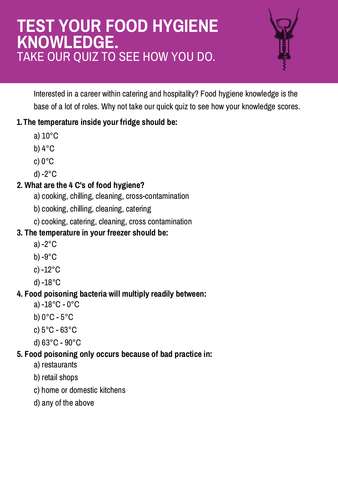# **TEST YOUR FOOD HYGIENE KNOWLEDGE.** TAKE OUR QUIZ TO SEE HOW YOU DO.



Interested in a career within catering and hospitality? Food hygiene knowledge is the base of a lot of roles. Why not take our quick quiz to see how your knowledge scores.

## **1.The temperature inside your fridge should be:**

- a) 10°C
- b) 4°C
- c) 0°C
- d) -2°C

## **2. What are the 4 C's of food hygiene?**

- a) cooking, chilling, cleaning, cross-contamination
- b) cooking, chilling, cleaning, catering
- c) cooking, catering, cleaning, cross contamination

# **3. The temperature in your freezer should be:**

- a) -2°C
- b) -9°C
- c) -12°C
- d) -18°C

# **4. Food poisoning bacteria will multiply readily between:**

- a) -18°C 0°C
- b) 0°C 5°C
- c) 5°C 63°C
- d) 63°C 90°C

## **5. Food poisoning only occurs because of bad practice in:**

- a) restaurants
- b) retail shops
- c) home or domestic kitchens
- d) any of the above